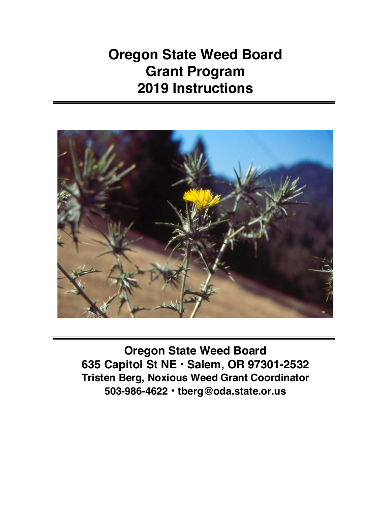**Oregon State Weed Board Grant Program 2019 Instructions**



**Oregon State Weed Board 635 Capitol St NE • Salem, OR 97301-2532 Tristen Berg, Noxious Weed Grant Coordinator 503-986-4622 • tberg@oda.state.or.us**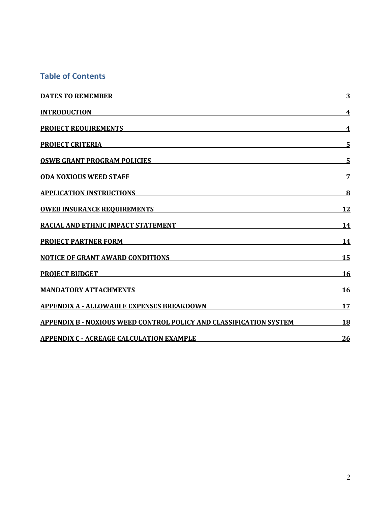### **Table of Contents**

| <b>DATES TO REMEMBER DESCRIPTION OF A SERVICE OF A SERVICE OF A SERVICE OF A SERVICE OF A SERVICE OF A SERVICE OF A SERVICE OF A SERVICE OF A SERVICE OF A SERVICE OF A SERVICE OF A SERVICE OF A SERVICE OF A SERVICE OF A SERV</b> | 3         |
|--------------------------------------------------------------------------------------------------------------------------------------------------------------------------------------------------------------------------------------|-----------|
| <b>INTRODUCTION</b>                                                                                                                                                                                                                  | 4         |
| PROJECT REQUIREMENTS <b>Example 20</b> in the contract of the contract of the contract of the contract of the contract of the contract of the contract of the contract of the contract of the contract of the contract of the contr  | 4         |
| PROJECT CRITERIA                                                                                                                                                                                                                     | 5         |
| <u>OSWB GRANT PROGRAM POLICIES Expression of the set of the set of the set of the set of the set of the set of the set of the set of the set of the set of the set of the set of the set of the set of the set of the set of the</u> | 5         |
| <u>ODA NOXIOUS WEED STAFF AND A CONSERVERS ON A CONSERVERS ON A CONSERVERS OF A CONSERVERS OF A CONSERVERS OF A CONSERVERS OF A CONSERVERS OF A CONSERVERS OF A CONSERVERS OF A CONSERVERS OF A CONSERVERS OF A CONSERVERS OF A </u> | 7         |
| APPLICATION INSTRUCTIONS APPLICATIONS                                                                                                                                                                                                | 8         |
| <u>OWEB INSURANCE REQUIREMENTS Expansion of the state of the state of the state of the state of the state of the state of the state of the state of the state of the state of the state of the state of the state of the state o</u> | 12        |
| <b>RACIAL AND ETHNIC IMPACT STATEMENT WAS SERVED FOR A STATEMENT</b>                                                                                                                                                                 | <b>14</b> |
| <b>PROJECT PARTNER FORM EXECUTIVE SERVICE SERVICE SERVICE SERVICE SERVICE SERVICE SERVICE SERVICE SERVICE SERVICE</b>                                                                                                                | 14        |
| <u>NOTICE OF GRANT AWARD CONDITIONS</u>                                                                                                                                                                                              | <b>15</b> |
| PROJECT BUDGET AND A RESERVE TO A REPORT OF THE RESERVE TO A REPORT OF THE RESERVE TO A REPORT OF THE RESERVE T                                                                                                                      | <u>16</u> |
| <b>MANDATORY ATTACHMENTS</b>                                                                                                                                                                                                         | 16        |
| <u>APPENDIX A - ALLOWABLE EXPENSES BREAKDOWN</u>                                                                                                                                                                                     | 17        |
| APPENDIX B - NOXIOUS WEED CONTROL POLICY AND CLASSIFICATION SYSTEM                                                                                                                                                                   | 18        |
| <b>APPENDIX C - ACREAGE CALCULATION EXAMPLE</b>                                                                                                                                                                                      | 26        |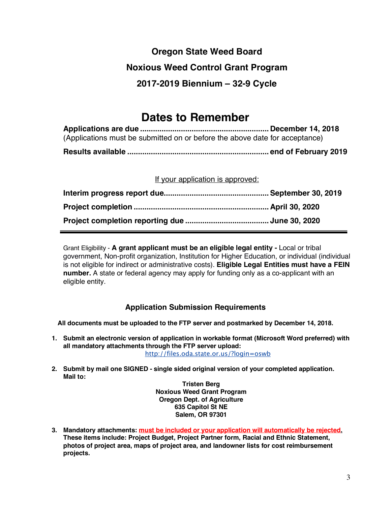# **Oregon State Weed Board Noxious Weed Control Grant Program 2017-2019 Biennium – 32-9 Cycle**

# **Dates to Remember**

| (Applications must be submitted on or before the above date for acceptance) |  |
|-----------------------------------------------------------------------------|--|
|                                                                             |  |

If your application is approved:

Grant Eligibility - **A grant applicant must be an eligible legal entity -** Local or tribal government, Non-profit organization, Institution for Higher Education, or individual (individual is not eligible for indirect or administrative costs). **Eligible Legal Entities must have a FEIN number.** A state or federal agency may apply for funding only as a co-applicant with an eligible entity.

### **Application Submission Requirements**

**All documents must be uploaded to the FTP server and postmarked by December 14, 2018.**

- **1. Submit an electronic version of application in workable format (Microsoft Word preferred) with all mandatory attachments through the FTP server upload:** http://files.oda.state.or.us/?login=oswb
- **2. Submit by mail one SIGNED - single sided original version of your completed application. Mail to:**

**Tristen Berg Noxious Weed Grant Program Oregon Dept. of Agriculture 635 Capitol St NE Salem, OR 97301**

**3. Mandatory attachments: must be included or your application will automatically be rejected. These items include: Project Budget, Project Partner form, Racial and Ethnic Statement, photos of project area, maps of project area, and landowner lists for cost reimbursement projects.**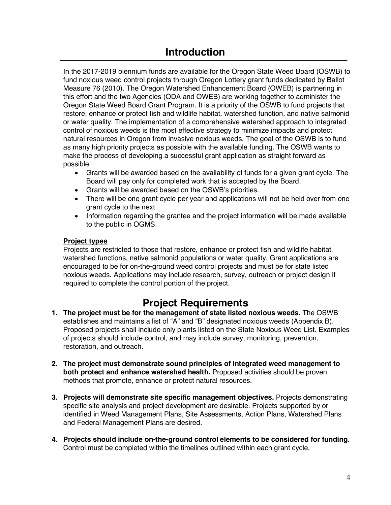In the 2017-2019 biennium funds are available for the Oregon State Weed Board (OSWB) to fund noxious weed control projects through Oregon Lottery grant funds dedicated by Ballot Measure 76 (2010). The Oregon Watershed Enhancement Board (OWEB) is partnering in this effort and the two Agencies (ODA and OWEB) are working together to administer the Oregon State Weed Board Grant Program. It is a priority of the OSWB to fund projects that restore, enhance or protect fish and wildlife habitat, watershed function, and native salmonid or water quality. The implementation of a comprehensive watershed approach to integrated control of noxious weeds is the most effective strategy to minimize impacts and protect natural resources in Oregon from invasive noxious weeds. The goal of the OSWB is to fund as many high priority projects as possible with the available funding. The OSWB wants to make the process of developing a successful grant application as straight forward as possible.

- Grants will be awarded based on the availability of funds for a given grant cycle. The Board will pay only for completed work that is accepted by the Board.
- Grants will be awarded based on the OSWB's priorities.
- There will be one grant cycle per year and applications will not be held over from one grant cycle to the next.
- Information regarding the grantee and the project information will be made available to the public in OGMS.

### **Project types**

Projects are restricted to those that restore, enhance or protect fish and wildlife habitat, watershed functions, native salmonid populations or water quality. Grant applications are encouraged to be for on-the-ground weed control projects and must be for state listed noxious weeds. Applications may include research, survey, outreach or project design if required to complete the control portion of the project.

## **Project Requirements**

- **1. The project must be for the management of state listed noxious weeds.** The OSWB establishes and maintains a list of "A" and "B" designated noxious weeds (Appendix B). Proposed projects shall include only plants listed on the State Noxious Weed List. Examples of projects should include control, and may include survey, monitoring, prevention, restoration, and outreach.
- **2. The project must demonstrate sound principles of integrated weed management to both protect and enhance watershed health.** Proposed activities should be proven methods that promote, enhance or protect natural resources.
- **3. Projects will demonstrate site specific management objectives.** Projects demonstrating specific site analysis and project development are desirable. Projects supported by or identified in Weed Management Plans, Site Assessments, Action Plans, Watershed Plans and Federal Management Plans are desired.
- **4. Projects should include on-the-ground control elements to be considered for funding.**  Control must be completed within the timelines outlined within each grant cycle.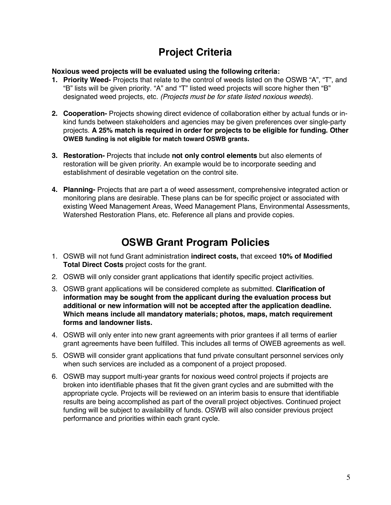# **Project Criteria**

**Noxious weed projects will be evaluated using the following criteria:**

- **1. Priority Weed-** Projects that relate to the control of weeds listed on the OSWB "A", "T", and "B" lists will be given priority. "A" and "T" listed weed projects will score higher then "B" designated weed projects, etc. *(Projects must be for state listed noxious weeds*).
- **2. Cooperation-** Projects showing direct evidence of collaboration either by actual funds or inkind funds between stakeholders and agencies may be given preferences over single-party projects. **A 25% match is required in order for projects to be eligible for funding. Other OWEB funding is not eligible for match toward OSWB grants.**
- **3. Restoration-** Projects that include **not only control elements** but also elements of restoration will be given priority. An example would be to incorporate seeding and establishment of desirable vegetation on the control site.
- **4. Planning-** Projects that are part a of weed assessment, comprehensive integrated action or monitoring plans are desirable. These plans can be for specific project or associated with existing Weed Management Areas, Weed Management Plans, Environmental Assessments, Watershed Restoration Plans, etc. Reference all plans and provide copies.

## **OSWB Grant Program Policies**

- 1. OSWB will not fund Grant administration **indirect costs,** that exceed **10% of Modified Total Direct Costs** project costs for the grant.
- 2. OSWB will only consider grant applications that identify specific project activities.
- 3. OSWB grant applications will be considered complete as submitted. **Clarification of information may be sought from the applicant during the evaluation process but additional or new information will not be accepted after the application deadline. Which means include all mandatory materials; photos, maps, match requirement forms and landowner lists.**
- 4. OSWB will only enter into new grant agreements with prior grantees if all terms of earlier grant agreements have been fulfilled. This includes all terms of OWEB agreements as well.
- 5. OSWB will consider grant applications that fund private consultant personnel services only when such services are included as a component of a project proposed.
- 6. OSWB may support multi-year grants for noxious weed control projects if projects are broken into identifiable phases that fit the given grant cycles and are submitted with the appropriate cycle. Projects will be reviewed on an interim basis to ensure that identifiable results are being accomplished as part of the overall project objectives. Continued project funding will be subject to availability of funds. OSWB will also consider previous project performance and priorities within each grant cycle.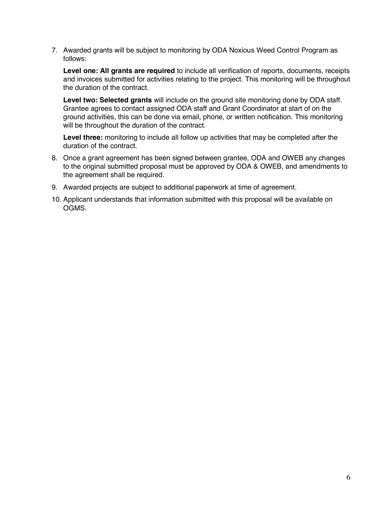7. Awarded grants will be subject to monitoring by ODA Noxious Weed Control Program as follows:

**Level one: All grants are required** to include all verification of reports, documents, receipts and invoices submitted for activities relating to the project. This monitoring will be throughout the duration of the contract.

**Level two: Selected grants** will include on the ground site monitoring done by ODA staff. Grantee agrees to contact assigned ODA staff and Grant Coordinator at start of on the ground activities, this can be done via email, phone, or written notification. This monitoring will be throughout the duration of the contract.

**Level three:** monitoring to include all follow up activities that may be completed after the duration of the contract.

- 8. Once a grant agreement has been signed between grantee, ODA and OWEB any changes to the original submitted proposal must be approved by ODA & OWEB, and amendments to the agreement shall be required.
- 9. Awarded projects are subject to additional paperwork at time of agreement.
- 10. Applicant understands that information submitted with this proposal will be available on OGMS.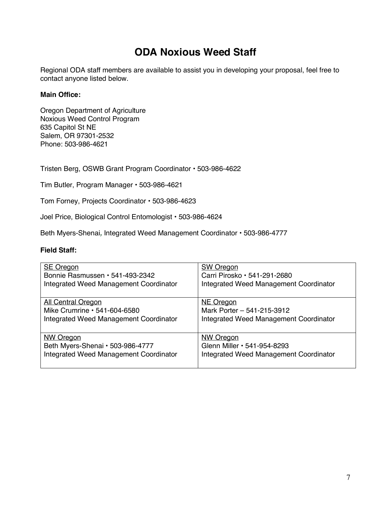## **ODA Noxious Weed Staff**

Regional ODA staff members are available to assist you in developing your proposal, feel free to contact anyone listed below.

#### **Main Office:**

Oregon Department of Agriculture Noxious Weed Control Program 635 Capitol St NE Salem, OR 97301-2532 Phone: 503-986-4621

Tristen Berg, OSWB Grant Program Coordinator • 503-986-4622

Tim Butler, Program Manager • 503-986-4621

Tom Forney, Projects Coordinator • 503-986-4623

Joel Price, Biological Control Entomologist • 503-986-4624

Beth Myers-Shenai*,* Integrated Weed Management Coordinator • 503-986-4777

#### **Field Staff:**

| <b>SE Oregon</b>                       | <b>SW Oregon</b>                       |
|----------------------------------------|----------------------------------------|
| Bonnie Rasmussen · 541-493-2342        | Carri Pirosko · 541-291-2680           |
| Integrated Weed Management Coordinator | Integrated Weed Management Coordinator |
| <b>All Central Oregon</b>              | NE Oregon                              |
| Mike Crumrine • 541-604-6580           | Mark Porter - 541-215-3912             |
| Integrated Weed Management Coordinator | Integrated Weed Management Coordinator |
| <b>NW Oregon</b>                       | <b>NW Oregon</b>                       |
| Beth Myers-Shenai • 503-986-4777       | Glenn Miller • 541-954-8293            |
| Integrated Weed Management Coordinator | Integrated Weed Management Coordinator |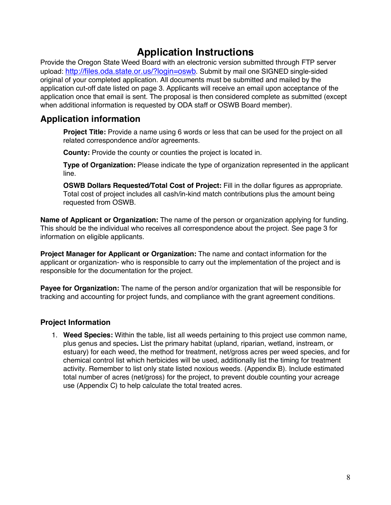## **Application Instructions**

Provide the Oregon State Weed Board with an electronic version submitted through FTP server upload: http://files.oda.state.or.us/?login=oswb. Submit by mail one SIGNED single-sided original of your completed application. All documents must be submitted and mailed by the application cut-off date listed on page 3. Applicants will receive an email upon acceptance of the application once that email is sent. The proposal is then considered complete as submitted (except when additional information is requested by ODA staff or OSWB Board member).

### **Application information**

**Project Title:** Provide a name using 6 words or less that can be used for the project on all related correspondence and/or agreements.

**County:** Provide the county or counties the project is located in.

**Type of Organization:** Please indicate the type of organization represented in the applicant line.

**OSWB Dollars Requested/Total Cost of Project:** Fill in the dollar figures as appropriate. Total cost of project includes all cash/in-kind match contributions plus the amount being requested from OSWB.

**Name of Applicant or Organization:** The name of the person or organization applying for funding. This should be the individual who receives all correspondence about the project. See page 3 for information on eligible applicants.

**Project Manager for Applicant or Organization:** The name and contact information for the applicant or organization- who is responsible to carry out the implementation of the project and is responsible for the documentation for the project.

**Payee for Organization:** The name of the person and/or organization that will be responsible for tracking and accounting for project funds, and compliance with the grant agreement conditions.

### **Project Information**

1. **Weed Species:** Within the table, list all weeds pertaining to this project use common name, plus genus and species**.** List the primary habitat (upland, riparian, wetland, instream, or estuary) for each weed, the method for treatment, net/gross acres per weed species, and for chemical control list which herbicides will be used, additionally list the timing for treatment activity. Remember to list only state listed noxious weeds. (Appendix B). Include estimated total number of acres (net/gross) for the project, to prevent double counting your acreage use (Appendix C) to help calculate the total treated acres.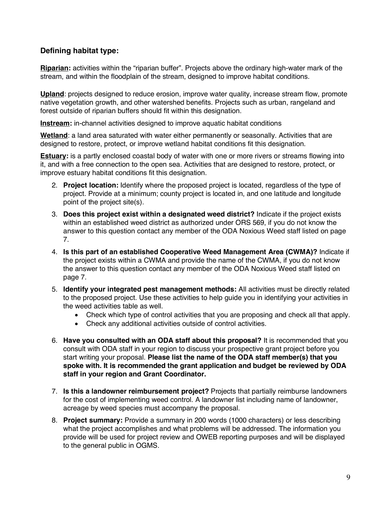### **Defining habitat type:**

**Riparian:** activities within the "riparian buffer". Projects above the ordinary high-water mark of the stream, and within the floodplain of the stream, designed to improve habitat conditions.

**Upland**: projects designed to reduce erosion, improve water quality, increase stream flow, promote native vegetation growth, and other watershed benefits. Projects such as urban, rangeland and forest outside of riparian buffers should fit within this designation.

**Instream:** in-channel activities designed to improve aquatic habitat conditions

**Wetland**: a land area saturated with water either permanently or seasonally. Activities that are designed to restore, protect, or improve wetland habitat conditions fit this designation.

**Estuary:** is a partly enclosed coastal body of water with one or more rivers or streams flowing into it, and with a free connection to the open sea. Activities that are designed to restore, protect, or improve estuary habitat conditions fit this designation.

- 2. **Project location:** Identify where the proposed project is located, regardless of the type of project. Provide at a minimum; county project is located in, and one latitude and longitude point of the project site(s).
- 3. **Does this project exist within a designated weed district?** Indicate if the project exists within an established weed district as authorized under ORS 569, if you do not know the answer to this question contact any member of the ODA Noxious Weed staff listed on page 7.
- 4. **Is this part of an established Cooperative Weed Management Area (CWMA)?** Indicate if the project exists within a CWMA and provide the name of the CWMA, if you do not know the answer to this question contact any member of the ODA Noxious Weed staff listed on page 7.
- 5. **Identify your integrated pest management methods:** All activities must be directly related to the proposed project. Use these activities to help guide you in identifying your activities in the weed activities table as well.
	- Check which type of control activities that you are proposing and check all that apply.
	- Check any additional activities outside of control activities.
- 6. **Have you consulted with an ODA staff about this proposal?** It is recommended that you consult with ODA staff in your region to discuss your prospective grant project before you start writing your proposal. **Please list the name of the ODA staff member(s) that you spoke with. It is recommended the grant application and budget be reviewed by ODA staff in your region and Grant Coordinator.**
- 7. **Is this a landowner reimbursement project?** Projects that partially reimburse landowners for the cost of implementing weed control. A landowner list including name of landowner, acreage by weed species must accompany the proposal.
- 8. **Project summary:** Provide a summary in 200 words (1000 characters) or less describing what the project accomplishes and what problems will be addressed. The information you provide will be used for project review and OWEB reporting purposes and will be displayed to the general public in OGMS.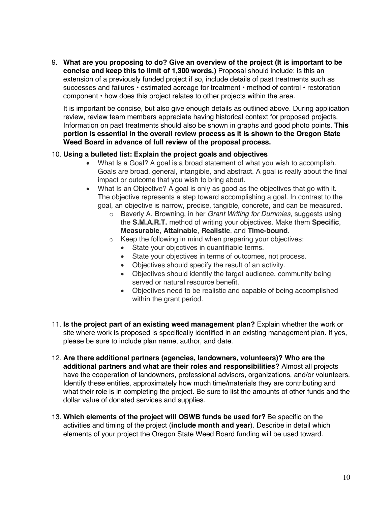9. **What are you proposing to do? Give an overview of the project (It is important to be concise and keep this to limit of 1,300 words.)** Proposal should include: is this an extension of a previously funded project if so, include details of past treatments such as successes and failures • estimated acreage for treatment • method of control • restoration component • how does this project relates to other projects within the area.

It is important be concise, but also give enough details as outlined above. During application review, review team members appreciate having historical context for proposed projects. Information on past treatments should also be shown in graphs and good photo points. **This portion is essential in the overall review process as it is shown to the Oregon State Weed Board in advance of full review of the proposal process.**

#### 10. **Using a bulleted list: Explain the project goals and objectives**

- What Is a Goal? A goal is a broad statement of what you wish to accomplish. Goals are broad, general, intangible, and abstract. A goal is really about the final impact or outcome that you wish to bring about.
- What Is an Objective? A goal is only as good as the objectives that go with it. The objective represents a step toward accomplishing a goal. In contrast to the goal, an objective is narrow, precise, tangible, concrete, and can be measured.
	- o Beverly A. Browning, in her *Grant Writing for Dummies*, suggests using the **S.M.A.R.T.** method of writing your objectives. Make them **Specific**, **Measurable**, **Attainable**, **Realistic**, and **Time-bound**.
	- o Keep the following in mind when preparing your objectives:
		- State your objectives in quantifiable terms.
		- State your objectives in terms of outcomes, not process.
		- Objectives should specify the result of an activity.
		- Objectives should identify the target audience, community being served or natural resource benefit.
		- Objectives need to be realistic and capable of being accomplished within the grant period.
- 11. **Is the project part of an existing weed management plan?** Explain whether the work or site where work is proposed is specifically identified in an existing management plan. If yes, please be sure to include plan name, author, and date.
- 12. **Are there additional partners (agencies, landowners, volunteers)? Who are the additional partners and what are their roles and responsibilities?** Almost all projects have the cooperation of landowners, professional advisors, organizations, and/or volunteers. Identify these entities, approximately how much time/materials they are contributing and what their role is in completing the project. Be sure to list the amounts of other funds and the dollar value of donated services and supplies.
- 13. **Which elements of the project will OSWB funds be used for?** Be specific on the activities and timing of the project (**include month and year**). Describe in detail which elements of your project the Oregon State Weed Board funding will be used toward.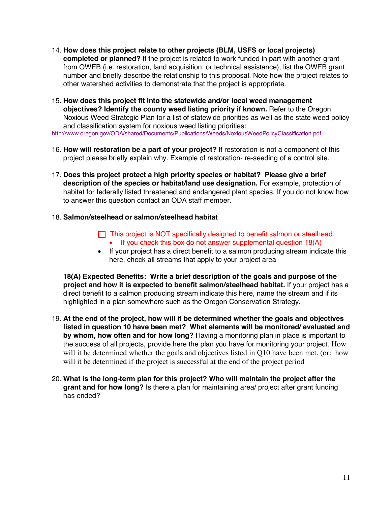- 14. **How does this project relate to other projects (BLM, USFS or local projects) completed or planned?** If the project is related to work funded in part with another grant from OWEB (i.e. restoration, land acquisition, or technical assistance), list the OWEB grant number and briefly describe the relationship to this proposal. Note how the project relates to other watershed activities to demonstrate that the project is appropriate.
- 15. **How does this project fit into the statewide and/or local weed management objectives? Identify the county weed listing priority if known.** Refer to the Oregon Noxious Weed Strategic Plan for a list of statewide priorities as well as the state weed policy and classification system for noxious weed listing priorities:

http://www.oregon.gov/ODA/shared/Documents/Publications/Weeds/NoxiousWeedPolicyClassification.pdf

- 16. **How will restoration be a part of your project?** If restoration is not a component of this project please briefly explain why. Example of restoration- re-seeding of a control site.
- 17. **Does this project protect a high priority species or habitat? Please give a brief description of the species or habitat/land use designation.** For example, protection of habitat for federally listed threatened and endangered plant species. If you do not know how to answer this question contact an ODA staff member.
- 18. **Salmon/steelhead or salmon/steelhead habitat**
	- $\Box$  This project is NOT specifically designed to benefit salmon or steelhead. • If you check this box do not answer supplemental question 18(A)
	- If your project has a direct benefit to a salmon producing stream indicate this here, check all streams that apply to your project area

**18(A) Expected Benefits: Write a brief description of the goals and purpose of the project and how it is expected to benefit salmon/steelhead habitat.** If your project has a direct benefit to a salmon producing stream indicate this here, name the stream and if its highlighted in a plan somewhere such as the Oregon Conservation Strategy.

- 19. **At the end of the project, how will it be determined whether the goals and objectives listed in question 10 have been met? What elements will be monitored/ evaluated and by whom, how often and for how long?** Having a monitoring plan in place is important to the success of all projects, provide here the plan you have for monitoring your project. How will it be determined whether the goals and objectives listed in Q10 have been met, (or: how will it be determined if the project is successful at the end of the project period
- 20. **What is the long-term plan for this project? Who will maintain the project after the grant and for how long?** Is there a plan for maintaining area/ project after grant funding has ended?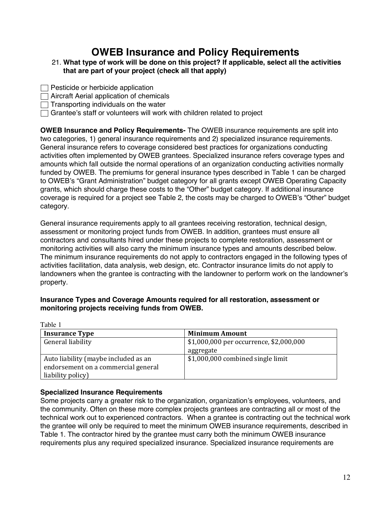### **OWEB Insurance and Policy Requirements**

- 21. **What type of work will be done on this project? If applicable, select all the activities that are part of your project (check all that apply)**
- $\Box$  Pesticide or herbicide application

 $\Box$  Aircraft Aerial application of chemicals

 $\Box$  Transporting individuals on the water

 $\Box$  Grantee's staff or volunteers will work with children related to project

**OWEB Insurance and Policy Requirements-** The OWEB insurance requirements are split into two categories, 1) general insurance requirements and 2) specialized insurance requirements. General insurance refers to coverage considered best practices for organizations conducting activities often implemented by OWEB grantees. Specialized insurance refers coverage types and amounts which fall outside the normal operations of an organization conducting activities normally funded by OWEB. The premiums for general insurance types described in Table 1 can be charged to OWEB's "Grant Administration" budget category for all grants except OWEB Operating Capacity grants, which should charge these costs to the "Other" budget category. If additional insurance coverage is required for a project see Table 2, the costs may be charged to OWEB's "Other" budget category.

General insurance requirements apply to all grantees receiving restoration, technical design, assessment or monitoring project funds from OWEB. In addition, grantees must ensure all contractors and consultants hired under these projects to complete restoration, assessment or monitoring activities will also carry the minimum insurance types and amounts described below. The minimum insurance requirements do not apply to contractors engaged in the following types of activities facilitation, data analysis, web design, etc. Contractor insurance limits do not apply to landowners when the grantee is contracting with the landowner to perform work on the landowner's property.

| Insurance Types and Coverage Amounts required for all restoration, assessment or |
|----------------------------------------------------------------------------------|
| monitoring projects receiving funds from OWEB.                                   |
|                                                                                  |

| .                                    |                                         |
|--------------------------------------|-----------------------------------------|
| <b>Insurance Type</b>                | <b>Minimum Amount</b>                   |
| General liability                    | \$1,000,000 per occurrence, \$2,000,000 |
|                                      | aggregate                               |
| Auto liability (maybe included as an | \$1,000,000 combined single limit       |
| endorsement on a commercial general  |                                         |
| liability policy)                    |                                         |

#### **Specialized Insurance Requirements**

Table 1

Some projects carry a greater risk to the organization, organization's employees, volunteers, and the community. Often on these more complex projects grantees are contracting all or most of the technical work out to experienced contractors. When a grantee is contracting out the technical work the grantee will only be required to meet the minimum OWEB insurance requirements, described in Table 1. The contractor hired by the grantee must carry both the minimum OWEB insurance requirements plus any required specialized insurance. Specialized insurance requirements are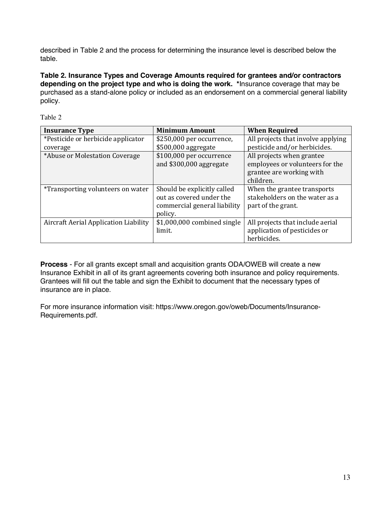described in Table 2 and the process for determining the insurance level is described below the table.

**Table 2. Insurance Types and Coverage Amounts required for grantees and/or contractors depending on the project type and who is doing the work. \***Insurance coverage that may be purchased as a stand-alone policy or included as an endorsement on a commercial general liability policy.

| <b>Insurance Type</b>                    | <b>Minimum Amount</b>        | <b>When Required</b>               |
|------------------------------------------|------------------------------|------------------------------------|
| *Pesticide or herbicide applicator       | \$250,000 per occurrence,    | All projects that involve applying |
| coverage                                 | \$500,000 aggregate          | pesticide and/or herbicides.       |
| *Abuse or Molestation Coverage           | \$100,000 per occurrence     | All projects when grantee          |
|                                          | and \$300,000 aggregate      | employees or volunteers for the    |
|                                          |                              | grantee are working with           |
|                                          |                              | children.                          |
| <i>*Transporting volunteers on water</i> | Should be explicitly called  | When the grantee transports        |
|                                          | out as covered under the     | stakeholders on the water as a     |
|                                          | commercial general liability | part of the grant.                 |
|                                          | policy.                      |                                    |
| Aircraft Aerial Application Liability    | \$1,000,000 combined single  | All projects that include aerial   |
|                                          | limit.                       | application of pesticides or       |
|                                          |                              | herbicides.                        |

Table 2

**Process** - For all grants except small and acquisition grants ODA/OWEB will create a new Insurance Exhibit in all of its grant agreements covering both insurance and policy requirements. Grantees will fill out the table and sign the Exhibit to document that the necessary types of insurance are in place.

For more insurance information visit: https://www.oregon.gov/oweb/Documents/Insurance-Requirements.pdf.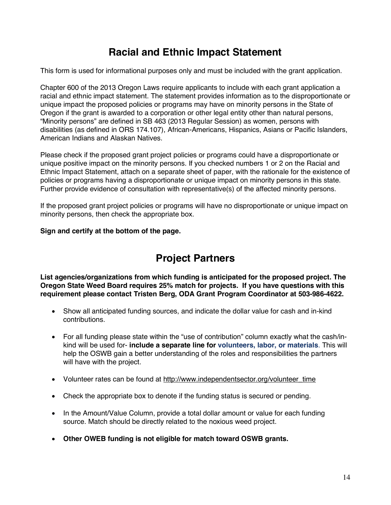## **Racial and Ethnic Impact Statement**

This form is used for informational purposes only and must be included with the grant application.

Chapter 600 of the 2013 Oregon Laws require applicants to include with each grant application a racial and ethnic impact statement. The statement provides information as to the disproportionate or unique impact the proposed policies or programs may have on minority persons in the State of Oregon if the grant is awarded to a corporation or other legal entity other than natural persons, "Minority persons" are defined in SB 463 (2013 Regular Session) as women, persons with disabilities (as defined in ORS 174.107), African-Americans, Hispanics, Asians or Pacific Islanders, American Indians and Alaskan Natives.

Please check if the proposed grant project policies or programs could have a disproportionate or unique positive impact on the minority persons. If you checked numbers 1 or 2 on the Racial and Ethnic Impact Statement, attach on a separate sheet of paper, with the rationale for the existence of policies or programs having a disproportionate or unique impact on minority persons in this state. Further provide evidence of consultation with representative(s) of the affected minority persons.

If the proposed grant project policies or programs will have no disproportionate or unique impact on minority persons, then check the appropriate box.

**Sign and certify at the bottom of the page.**

## **Project Partners**

**List agencies/organizations from which funding is anticipated for the proposed project. The Oregon State Weed Board requires 25% match for projects. If you have questions with this requirement please contact Tristen Berg, ODA Grant Program Coordinator at 503-986-4622.** 

- Show all anticipated funding sources, and indicate the dollar value for cash and in-kind contributions.
- For all funding please state within the "use of contribution" column exactly what the cash/inkind will be used for- **include a separate line for volunteers, labor, or materials**. This will help the OSWB gain a better understanding of the roles and responsibilities the partners will have with the project.
- Volunteer rates can be found at http://www.independentsector.org/volunteer\_time
- Check the appropriate box to denote if the funding status is secured or pending.
- In the Amount/Value Column, provide a total dollar amount or value for each funding source. Match should be directly related to the noxious weed project.
- **Other OWEB funding is not eligible for match toward OSWB grants.**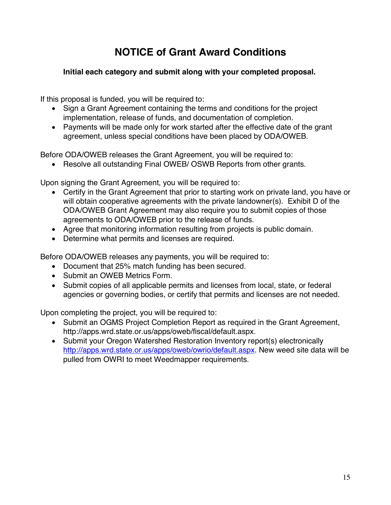# **NOTICE of Grant Award Conditions**

### **Initial each category and submit along with your completed proposal.**

If this proposal is funded, you will be required to:

- Sign a Grant Agreement containing the terms and conditions for the project implementation, release of funds, and documentation of completion.
- Payments will be made only for work started after the effective date of the grant agreement, unless special conditions have been placed by ODA/OWEB.

Before ODA/OWEB releases the Grant Agreement, you will be required to:

• Resolve all outstanding Final OWEB/ OSWB Reports from other grants.

Upon signing the Grant Agreement, you will be required to:

- Certify in the Grant Agreement that prior to starting work on private land, you have or will obtain cooperative agreements with the private landowner(s). Exhibit D of the ODA/OWEB Grant Agreement may also require you to submit copies of those agreements to ODA/OWEB prior to the release of funds.
- Agree that monitoring information resulting from projects is public domain.
- Determine what permits and licenses are required.

Before ODA/OWEB releases any payments, you will be required to:

- Document that 25% match funding has been secured.
- Submit an OWEB Metrics Form.
- Submit copies of all applicable permits and licenses from local, state, or federal agencies or governing bodies, or certify that permits and licenses are not needed.

Upon completing the project, you will be required to:

- Submit an OGMS Project Completion Report as required in the Grant Agreement, http://apps.wrd.state.or.us/apps/oweb/fiscal/default.aspx.
- Submit your Oregon Watershed Restoration Inventory report(s) electronically http://apps.wrd.state.or.us/apps/oweb/owrio/default.aspx. New weed site data will be pulled from OWRI to meet Weedmapper requirements.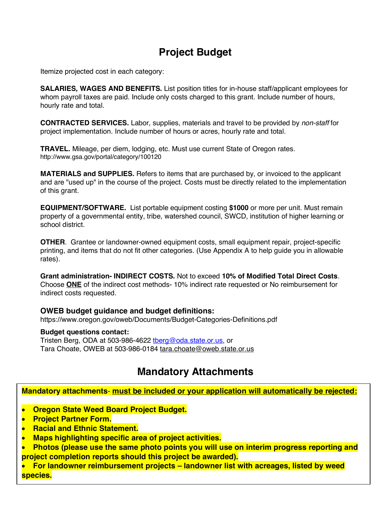# **Project Budget**

Itemize projected cost in each category:

**SALARIES, WAGES AND BENEFITS.** List position titles for in-house staff/applicant employees for whom payroll taxes are paid. Include only costs charged to this grant. Include number of hours, hourly rate and total.

**CONTRACTED SERVICES.** Labor, supplies, materials and travel to be provided by *non-staff* for project implementation. Include number of hours or acres, hourly rate and total.

**TRAVEL.** Mileage, per diem, lodging, etc. Must use current State of Oregon rates. http://www.gsa.gov/portal/category/100120

**MATERIALS and SUPPLIES.** Refers to items that are purchased by, or invoiced to the applicant and are "used up" in the course of the project. Costs must be directly related to the implementation of this grant.

**EQUIPMENT/SOFTWARE.** List portable equipment costing **\$1000** or more per unit. Must remain property of a governmental entity, tribe, watershed council, SWCD, institution of higher learning or school district.

**OTHER**. Grantee or landowner-owned equipment costs, small equipment repair, project-specific printing, and items that do not fit other categories. (Use Appendix A to help guide you in allowable rates).

**Grant administration- INDIRECT COSTS.** Not to exceed **10% of Modified Total Direct Costs**. Choose **ONE** of the indirect cost methods- 10% indirect rate requested or No reimbursement for indirect costs requested.

#### **OWEB budget guidance and budget definitions:**

https://www.oregon.gov/oweb/Documents/Budget-Categories-Definitions.pdf

#### **Budget questions contact:**

Tristen Berg, ODA at 503-986-4622 therg@oda.state.or.us, or Tara Choate, OWEB at 503-986-0184 tara.choate@oweb.state.or.us

## **Mandatory Attachments**

**Mandatory attachments**- **must be included or your application will automatically be rejected:**

- **Oregon State Weed Board Project Budget.**
- **Project Partner Form.**
- **Racial and Ethnic Statement.**
- **Maps highlighting specific area of project activities.**
- **Photos (please use the same photo points you will use on interim progress reporting and project completion reports should this project be awarded).**
- **For landowner reimbursement projects – landowner list with acreages, listed by weed species.**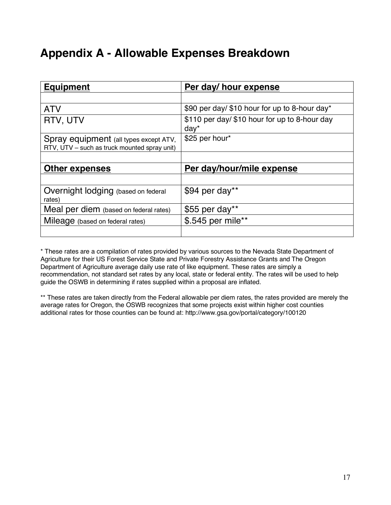# **Appendix A - Allowable Expenses Breakdown**

| <b>Equipment</b>                                                                       | Per day/ hour expense                                   |
|----------------------------------------------------------------------------------------|---------------------------------------------------------|
|                                                                                        |                                                         |
| <b>ATV</b>                                                                             | \$90 per day/ \$10 hour for up to 8-hour day*           |
| RTV, UTV                                                                               | \$110 per day/ \$10 hour for up to 8-hour day<br>$day*$ |
| Spray equipment (all types except ATV,<br>RTV, UTV – such as truck mounted spray unit) | \$25 per hour*                                          |
|                                                                                        |                                                         |
| Other expenses                                                                         | Per day/hour/mile expense                               |
|                                                                                        |                                                         |
| Overnight lodging (based on federal<br>rates)                                          | \$94 per day**                                          |
| Meal per diem (based on federal rates)                                                 | \$55 per day**                                          |
| Mileage (based on federal rates)                                                       | \$.545 per mile**                                       |
|                                                                                        |                                                         |

\* These rates are a compilation of rates provided by various sources to the Nevada State Department of Agriculture for their US Forest Service State and Private Forestry Assistance Grants and The Oregon Department of Agriculture average daily use rate of like equipment. These rates are simply a recommendation, not standard set rates by any local, state or federal entity. The rates will be used to help guide the OSWB in determining if rates supplied within a proposal are inflated.

\*\* These rates are taken directly from the Federal allowable per diem rates, the rates provided are merely the average rates for Oregon, the OSWB recognizes that some projects exist within higher cost counties additional rates for those counties can be found at: http://www.gsa.gov/portal/category/100120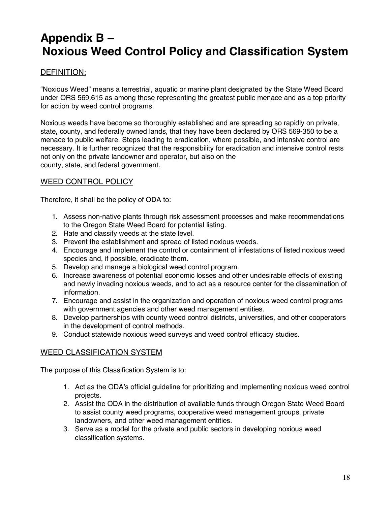# **Appendix B – Noxious Weed Control Policy and Classification System**

### DEFINITION:

"Noxious Weed" means a terrestrial, aquatic or marine plant designated by the State Weed Board under ORS 569.615 as among those representing the greatest public menace and as a top priority for action by weed control programs.

Noxious weeds have become so thoroughly established and are spreading so rapidly on private, state, county, and federally owned lands, that they have been declared by ORS 569-350 to be a menace to public welfare. Steps leading to eradication, where possible, and intensive control are necessary. It is further recognized that the responsibility for eradication and intensive control rests not only on the private landowner and operator, but also on the county, state, and federal government.

#### WEED CONTROL POLICY

Therefore, it shall be the policy of ODA to:

- 1. Assess non-native plants through risk assessment processes and make recommendations to the Oregon State Weed Board for potential listing.
- 2. Rate and classify weeds at the state level.
- 3. Prevent the establishment and spread of listed noxious weeds.
- 4. Encourage and implement the control or containment of infestations of listed noxious weed species and, if possible, eradicate them.
- 5. Develop and manage a biological weed control program.
- 6. Increase awareness of potential economic losses and other undesirable effects of existing and newly invading noxious weeds, and to act as a resource center for the dissemination of information.
- 7. Encourage and assist in the organization and operation of noxious weed control programs with government agencies and other weed management entities.
- 8. Develop partnerships with county weed control districts, universities, and other cooperators in the development of control methods.
- 9. Conduct statewide noxious weed surveys and weed control efficacy studies.

#### WEED CLASSIFICATION SYSTEM

The purpose of this Classification System is to:

- 1. Act as the ODA's official guideline for prioritizing and implementing noxious weed control projects.
- 2. Assist the ODA in the distribution of available funds through Oregon State Weed Board to assist county weed programs, cooperative weed management groups, private landowners, and other weed management entities.
- 3. Serve as a model for the private and public sectors in developing noxious weed classification systems.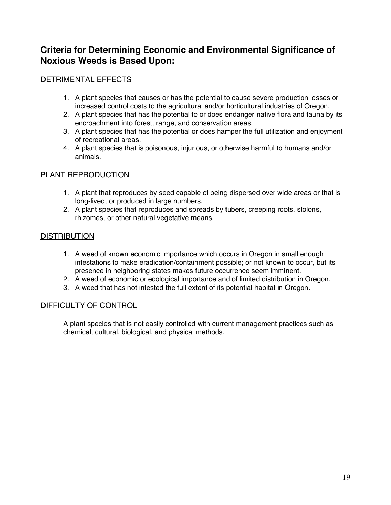### **Criteria for Determining Economic and Environmental Significance of Noxious Weeds is Based Upon:**

### DETRIMENTAL EFFECTS

- 1. A plant species that causes or has the potential to cause severe production losses or increased control costs to the agricultural and/or horticultural industries of Oregon.
- 2. A plant species that has the potential to or does endanger native flora and fauna by its encroachment into forest, range, and conservation areas.
- 3. A plant species that has the potential or does hamper the full utilization and enjoyment of recreational areas.
- 4. A plant species that is poisonous, injurious, or otherwise harmful to humans and/or animals.

### PLANT REPRODUCTION

- 1. A plant that reproduces by seed capable of being dispersed over wide areas or that is long-lived, or produced in large numbers.
- 2. A plant species that reproduces and spreads by tubers, creeping roots, stolons, rhizomes, or other natural vegetative means.

### **DISTRIBUTION**

- 1. A weed of known economic importance which occurs in Oregon in small enough infestations to make eradication/containment possible; or not known to occur, but its presence in neighboring states makes future occurrence seem imminent.
- 2. A weed of economic or ecological importance and of limited distribution in Oregon.
- 3. A weed that has not infested the full extent of its potential habitat in Oregon.

#### DIFFICULTY OF CONTROL

A plant species that is not easily controlled with current management practices such as chemical, cultural, biological, and physical methods.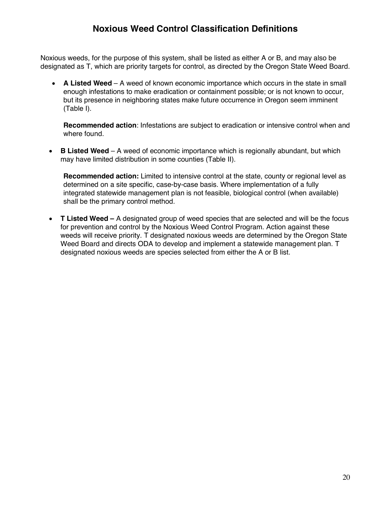### **Noxious Weed Control Classification Definitions**

Noxious weeds, for the purpose of this system, shall be listed as either A or B, and may also be designated as T, which are priority targets for control, as directed by the Oregon State Weed Board.

• **A Listed Weed** – A weed of known economic importance which occurs in the state in small enough infestations to make eradication or containment possible; or is not known to occur, but its presence in neighboring states make future occurrence in Oregon seem imminent (Table I).

**Recommended action**: Infestations are subject to eradication or intensive control when and where found.

• **B Listed Weed** – A weed of economic importance which is regionally abundant, but which may have limited distribution in some counties (Table II).

**Recommended action:** Limited to intensive control at the state, county or regional level as determined on a site specific, case-by-case basis. Where implementation of a fully integrated statewide management plan is not feasible, biological control (when available) shall be the primary control method.

• **T Listed Weed –** A designated group of weed species that are selected and will be the focus for prevention and control by the Noxious Weed Control Program. Action against these weeds will receive priority. T designated noxious weeds are determined by the Oregon State Weed Board and directs ODA to develop and implement a statewide management plan. T designated noxious weeds are species selected from either the A or B list.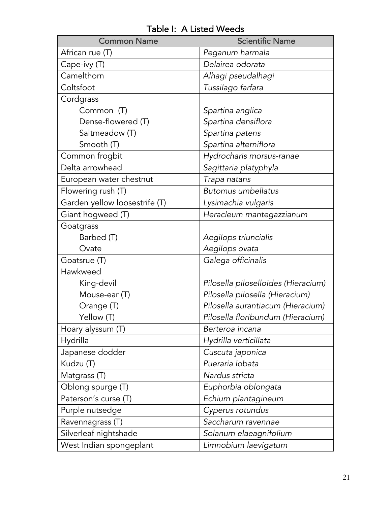| <b>Common Name</b>            | <b>Scientific Name</b>              |
|-------------------------------|-------------------------------------|
| African rue (T)               | Peganum harmala                     |
| Cape-ivy (T)                  | Delairea odorata                    |
| Camelthorn                    | Alhagi pseudalhagi                  |
| Coltsfoot                     | Tussilago farfara                   |
| Cordgrass                     |                                     |
| Common (T)                    | Spartina anglica                    |
| Dense-flowered (T)            | Spartina densiflora                 |
| Saltmeadow (T)                | Spartina patens                     |
| Smooth (T)                    | Spartina alterniflora               |
| Common frogbit                | Hydrocharis morsus-ranae            |
| Delta arrowhead               | Sagittaria platyphyla               |
| European water chestnut       | Trapa natans                        |
| Flowering rush (T)            | <b>Butomus umbellatus</b>           |
| Garden yellow loosestrife (T) | Lysimachia vulgaris                 |
| Giant hogweed (T)             | Heracleum mantegazzianum            |
| Goatgrass                     |                                     |
| Barbed (T)                    | Aegilops triuncialis                |
| Ovate                         | Aegilops ovata                      |
| Goatsrue (T)                  | Galega officinalis                  |
| Hawkweed                      |                                     |
| King-devil                    | Pilosella piloselloides (Hieracium) |
| Mouse-ear (T)                 | Pilosella pilosella (Hieracium)     |
| Orange (T)                    | Pilosella aurantiacum (Hieracium)   |
| Yellow (T)                    | Pilosella floribundum (Hieracium)   |
| Hoary alyssum (T)             | Berteroa incana                     |
| Hydrilla                      | Hydrilla verticillata               |
| Japanese dodder               | Cuscuta japonica                    |
| Kudzu (T)                     | Pueraria lobata                     |
| Matgrass (T)                  | Nardus stricta                      |
| Oblong spurge (T)             | Euphorbia oblongata                 |
| Paterson's curse (T)          | Echium plantagineum                 |
| Purple nutsedge               | Cyperus rotundus                    |
| Ravennagrass (T)              | Saccharum ravennae                  |
| Silverleaf nightshade         | Solanum elaeagnifolium              |
| West Indian spongeplant       | Limnobium laevigatum                |

Table I: A Listed Weeds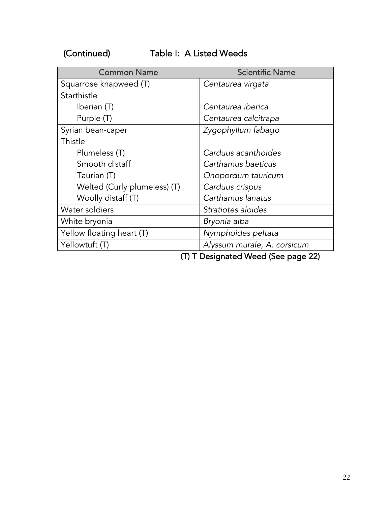(Continued) Table I: A Listed Weeds

| <b>Common Name</b>           | <b>Scientific Name</b>                         |
|------------------------------|------------------------------------------------|
| Squarrose knapweed (T)       | Centaurea virgata                              |
| Starthistle                  |                                                |
| Iberian (T)                  | Centaurea iberica                              |
| Purple (T)                   | Centaurea calcitrapa                           |
| Syrian bean-caper            | Zygophyllum fabago                             |
| Thistle                      |                                                |
| Plumeless (T)                | Carduus acanthoides                            |
| Smooth distaff               | Carthamus baeticus                             |
| Taurian (T)                  | Onopordum tauricum                             |
| Welted (Curly plumeless) (T) | Carduus crispus                                |
| Woolly distaff (T)           | Carthamus lanatus                              |
| Water soldiers               | Stratiotes aloides                             |
| White bryonia                | Bryonia alba                                   |
| Yellow floating heart (T)    | Nymphoides peltata                             |
| Yellowtuft (T)               | Alyssum murale, A. corsicum                    |
|                              | $(T)$ T Designated $M$ sed $C$ se negas<br>ורר |

(T) T Designated Weed (See page 22)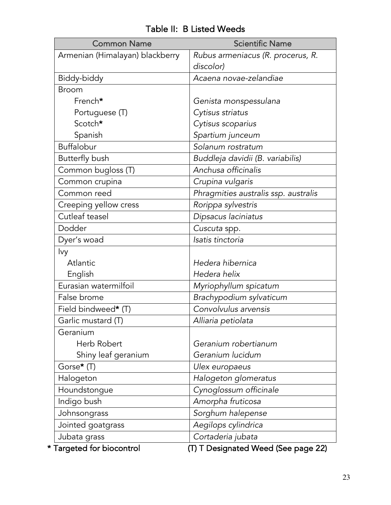| <b>Common Name</b>              | <b>Scientific Name</b>                         |
|---------------------------------|------------------------------------------------|
| Armenian (Himalayan) blackberry | Rubus armeniacus (R. procerus, R.<br>discolor) |
| Biddy-biddy                     | Acaena novae-zelandiae                         |
| <b>Broom</b>                    |                                                |
| French*                         | Genista monspessulana                          |
| Portuguese (T)                  | Cytisus striatus                               |
| Scotch*                         | Cytisus scoparius                              |
| Spanish                         | Spartium junceum                               |
| Buffalobur                      | Solanum rostratum                              |
| Butterfly bush                  | Buddleja davidii (B. variabilis)               |
| Common bugloss (T)              | Anchusa officinalis                            |
| Common crupina                  | Crupina vulgaris                               |
| Common reed                     | Phragmities australis ssp. australis           |
| Creeping yellow cress           | Rorippa sylvestris                             |
| Cutleaf teasel                  | Dipsacus laciniatus                            |
| Dodder                          | Cuscuta spp.                                   |
| Dyer's woad                     | Isatis tinctoria                               |
| lvy                             |                                                |
| Atlantic                        | Hedera hibernica                               |
| English                         | Hedera helix                                   |
| Eurasian watermilfoil           | Myriophyllum spicatum                          |
| False brome                     | Brachypodium sylvaticum                        |
| Field bindweed* (T)             | Convolvulus arvensis                           |
| Garlic mustard (T)              | Alliaria petiolata                             |
| Geranium                        |                                                |
| Herb Robert                     | Geranium robertianum                           |
| Shiny leaf geranium             | Geranium lucidum                               |
| Gorse* (T)                      | Ulex europaeus                                 |
| Halogeton                       | Halogeton glomeratus                           |
| Houndstongue                    | Cynoglossum officinale                         |
| Indigo bush                     | Amorpha fruticosa                              |
| Johnsongrass                    | Sorghum halepense                              |
| Jointed goatgrass               | Aegilops cylindrica                            |
| Jubata grass                    | Cortaderia jubata                              |
| * Targeted for biocontrol       | (T) T Designated Weed (See page 22)            |

### Table II: B Listed Weeds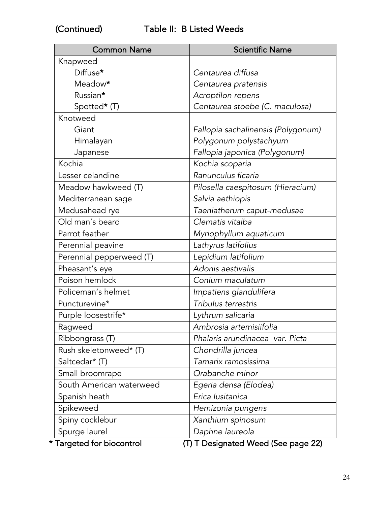| Knapweed<br>Diffuse*<br>Centaurea diffusa<br>Meadow*<br>Centaurea pratensis<br>Russian*<br>Acroptilon repens<br>Centaurea stoebe (C. maculosa)<br>Spotted* (T)<br>Knotweed<br>Giant<br>Fallopia sachalinensis (Polygonum)<br>Polygonum polystachyum<br>Himalayan<br>Fallopia japonica (Polygonum)<br>Japanese<br>Kochia<br>Kochia scoparia<br>Ranunculus ficaria<br>Lesser celandine<br>Meadow hawkweed (T)<br>Pilosella caespitosum (Hieracium)<br>Salvia aethiopis<br>Mediterranean sage<br>Taeniatherum caput-medusae<br>Medusahead rye<br>Old man's beard<br>Clematis vitalba<br>Parrot feather<br>Myriophyllum aquaticum<br>Lathyrus latifolius<br>Perennial peavine<br>Perennial pepperweed (T)<br>Lepidium latifolium<br>Adonis aestivalis<br>Pheasant's eye<br>Poison hemlock<br>Conium maculatum<br>Policeman's helmet<br>Impatiens glandulifera<br>Tribulus terrestris<br>Puncturevine*<br>Purple loosestrife*<br>Lythrum salicaria<br>Ambrosia artemisiifolia<br>Ragweed<br>Ribbongrass (T)<br>Phalaris arundinacea var. Picta<br>Rush skeletonweed* (T)<br>Chondrilla juncea<br>Saltcedar* (T)<br>Tamarix ramosissima<br>Small broomrape<br>Orabanche minor<br>South American waterweed<br>Egeria densa (Elodea)<br>Erica lusitanica<br>Spanish heath<br>Spikeweed<br>Hemizonia pungens<br>Spiny cocklebur<br>Xanthium spinosum | <b>Common Name</b> | <b>Scientific Name</b> |
|---------------------------------------------------------------------------------------------------------------------------------------------------------------------------------------------------------------------------------------------------------------------------------------------------------------------------------------------------------------------------------------------------------------------------------------------------------------------------------------------------------------------------------------------------------------------------------------------------------------------------------------------------------------------------------------------------------------------------------------------------------------------------------------------------------------------------------------------------------------------------------------------------------------------------------------------------------------------------------------------------------------------------------------------------------------------------------------------------------------------------------------------------------------------------------------------------------------------------------------------------------------------------------------------------------------------------------------------|--------------------|------------------------|
|                                                                                                                                                                                                                                                                                                                                                                                                                                                                                                                                                                                                                                                                                                                                                                                                                                                                                                                                                                                                                                                                                                                                                                                                                                                                                                                                             |                    |                        |
|                                                                                                                                                                                                                                                                                                                                                                                                                                                                                                                                                                                                                                                                                                                                                                                                                                                                                                                                                                                                                                                                                                                                                                                                                                                                                                                                             |                    |                        |
|                                                                                                                                                                                                                                                                                                                                                                                                                                                                                                                                                                                                                                                                                                                                                                                                                                                                                                                                                                                                                                                                                                                                                                                                                                                                                                                                             |                    |                        |
|                                                                                                                                                                                                                                                                                                                                                                                                                                                                                                                                                                                                                                                                                                                                                                                                                                                                                                                                                                                                                                                                                                                                                                                                                                                                                                                                             |                    |                        |
|                                                                                                                                                                                                                                                                                                                                                                                                                                                                                                                                                                                                                                                                                                                                                                                                                                                                                                                                                                                                                                                                                                                                                                                                                                                                                                                                             |                    |                        |
|                                                                                                                                                                                                                                                                                                                                                                                                                                                                                                                                                                                                                                                                                                                                                                                                                                                                                                                                                                                                                                                                                                                                                                                                                                                                                                                                             |                    |                        |
|                                                                                                                                                                                                                                                                                                                                                                                                                                                                                                                                                                                                                                                                                                                                                                                                                                                                                                                                                                                                                                                                                                                                                                                                                                                                                                                                             |                    |                        |
|                                                                                                                                                                                                                                                                                                                                                                                                                                                                                                                                                                                                                                                                                                                                                                                                                                                                                                                                                                                                                                                                                                                                                                                                                                                                                                                                             |                    |                        |
|                                                                                                                                                                                                                                                                                                                                                                                                                                                                                                                                                                                                                                                                                                                                                                                                                                                                                                                                                                                                                                                                                                                                                                                                                                                                                                                                             |                    |                        |
|                                                                                                                                                                                                                                                                                                                                                                                                                                                                                                                                                                                                                                                                                                                                                                                                                                                                                                                                                                                                                                                                                                                                                                                                                                                                                                                                             |                    |                        |
|                                                                                                                                                                                                                                                                                                                                                                                                                                                                                                                                                                                                                                                                                                                                                                                                                                                                                                                                                                                                                                                                                                                                                                                                                                                                                                                                             |                    |                        |
|                                                                                                                                                                                                                                                                                                                                                                                                                                                                                                                                                                                                                                                                                                                                                                                                                                                                                                                                                                                                                                                                                                                                                                                                                                                                                                                                             |                    |                        |
|                                                                                                                                                                                                                                                                                                                                                                                                                                                                                                                                                                                                                                                                                                                                                                                                                                                                                                                                                                                                                                                                                                                                                                                                                                                                                                                                             |                    |                        |
|                                                                                                                                                                                                                                                                                                                                                                                                                                                                                                                                                                                                                                                                                                                                                                                                                                                                                                                                                                                                                                                                                                                                                                                                                                                                                                                                             |                    |                        |
|                                                                                                                                                                                                                                                                                                                                                                                                                                                                                                                                                                                                                                                                                                                                                                                                                                                                                                                                                                                                                                                                                                                                                                                                                                                                                                                                             |                    |                        |
|                                                                                                                                                                                                                                                                                                                                                                                                                                                                                                                                                                                                                                                                                                                                                                                                                                                                                                                                                                                                                                                                                                                                                                                                                                                                                                                                             |                    |                        |
|                                                                                                                                                                                                                                                                                                                                                                                                                                                                                                                                                                                                                                                                                                                                                                                                                                                                                                                                                                                                                                                                                                                                                                                                                                                                                                                                             |                    |                        |
|                                                                                                                                                                                                                                                                                                                                                                                                                                                                                                                                                                                                                                                                                                                                                                                                                                                                                                                                                                                                                                                                                                                                                                                                                                                                                                                                             |                    |                        |
|                                                                                                                                                                                                                                                                                                                                                                                                                                                                                                                                                                                                                                                                                                                                                                                                                                                                                                                                                                                                                                                                                                                                                                                                                                                                                                                                             |                    |                        |
|                                                                                                                                                                                                                                                                                                                                                                                                                                                                                                                                                                                                                                                                                                                                                                                                                                                                                                                                                                                                                                                                                                                                                                                                                                                                                                                                             |                    |                        |
|                                                                                                                                                                                                                                                                                                                                                                                                                                                                                                                                                                                                                                                                                                                                                                                                                                                                                                                                                                                                                                                                                                                                                                                                                                                                                                                                             |                    |                        |
|                                                                                                                                                                                                                                                                                                                                                                                                                                                                                                                                                                                                                                                                                                                                                                                                                                                                                                                                                                                                                                                                                                                                                                                                                                                                                                                                             |                    |                        |
|                                                                                                                                                                                                                                                                                                                                                                                                                                                                                                                                                                                                                                                                                                                                                                                                                                                                                                                                                                                                                                                                                                                                                                                                                                                                                                                                             |                    |                        |
|                                                                                                                                                                                                                                                                                                                                                                                                                                                                                                                                                                                                                                                                                                                                                                                                                                                                                                                                                                                                                                                                                                                                                                                                                                                                                                                                             |                    |                        |
|                                                                                                                                                                                                                                                                                                                                                                                                                                                                                                                                                                                                                                                                                                                                                                                                                                                                                                                                                                                                                                                                                                                                                                                                                                                                                                                                             |                    |                        |
|                                                                                                                                                                                                                                                                                                                                                                                                                                                                                                                                                                                                                                                                                                                                                                                                                                                                                                                                                                                                                                                                                                                                                                                                                                                                                                                                             |                    |                        |
|                                                                                                                                                                                                                                                                                                                                                                                                                                                                                                                                                                                                                                                                                                                                                                                                                                                                                                                                                                                                                                                                                                                                                                                                                                                                                                                                             |                    |                        |
|                                                                                                                                                                                                                                                                                                                                                                                                                                                                                                                                                                                                                                                                                                                                                                                                                                                                                                                                                                                                                                                                                                                                                                                                                                                                                                                                             |                    |                        |
|                                                                                                                                                                                                                                                                                                                                                                                                                                                                                                                                                                                                                                                                                                                                                                                                                                                                                                                                                                                                                                                                                                                                                                                                                                                                                                                                             |                    |                        |
|                                                                                                                                                                                                                                                                                                                                                                                                                                                                                                                                                                                                                                                                                                                                                                                                                                                                                                                                                                                                                                                                                                                                                                                                                                                                                                                                             |                    |                        |
|                                                                                                                                                                                                                                                                                                                                                                                                                                                                                                                                                                                                                                                                                                                                                                                                                                                                                                                                                                                                                                                                                                                                                                                                                                                                                                                                             |                    |                        |
|                                                                                                                                                                                                                                                                                                                                                                                                                                                                                                                                                                                                                                                                                                                                                                                                                                                                                                                                                                                                                                                                                                                                                                                                                                                                                                                                             |                    |                        |
|                                                                                                                                                                                                                                                                                                                                                                                                                                                                                                                                                                                                                                                                                                                                                                                                                                                                                                                                                                                                                                                                                                                                                                                                                                                                                                                                             | Spurge laurel      | Daphne laureola        |

\* Targeted for biocontrol (T) T Designated Weed (See page 22)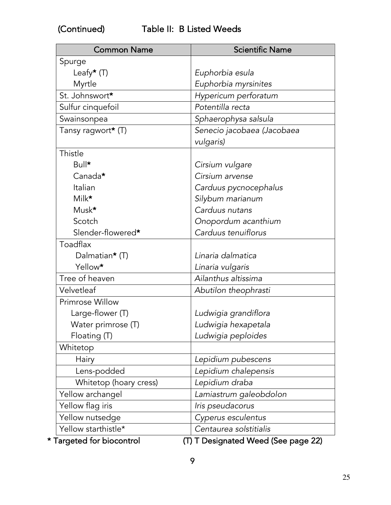| <b>Common Name</b>        | <b>Scientific Name</b>              |
|---------------------------|-------------------------------------|
| Spurge                    |                                     |
| Leafy $*$ (T)             | Euphorbia esula                     |
| Myrtle                    | Euphorbia myrsinites                |
| St. Johnswort*            | Hypericum perforatum                |
| Sulfur cinquefoil         | Potentilla recta                    |
| Swainsonpea               | Sphaerophysa salsula                |
| Tansy ragwort* (T)        | Senecio jacobaea (Jacobaea          |
|                           | vulgaris)                           |
| Thistle                   |                                     |
| Bull*                     | Cirsium vulgare                     |
| Canada*                   | Cirsium arvense                     |
| Italian                   | Carduus pycnocephalus               |
| Milk*                     | Silybum marianum                    |
| Musk*                     | Carduus nutans                      |
| Scotch                    | Onopordum acanthium                 |
| Slender-flowered*         | Carduus tenuiflorus                 |
| Toadflax                  |                                     |
| Dalmatian* (T)            | Linaria dalmatica                   |
| Yellow*                   | Linaria vulgaris                    |
| Tree of heaven            | Ailanthus altissima                 |
| Velvetleaf                | Abutilon theophrasti                |
| Primrose Willow           |                                     |
| Large-flower (T)          | Ludwigia grandiflora                |
| Water primrose (T)        | Ludwigia hexapetala                 |
| Floating (T)              | Ludwigia peploides                  |
| Whitetop                  |                                     |
| Hairy                     | Lepidium pubescens                  |
| Lens-podded               | Lepidium chalepensis                |
| Whitetop (hoary cress)    | Lepidium draba                      |
| Yellow archangel          | Lamiastrum galeobdolon              |
| Yellow flag iris          | Iris pseudacorus                    |
| Yellow nutsedge           | Cyperus esculentus                  |
| Yellow starthistle*       | Centaurea solstitialis              |
| * Targeted for biocontrol | (T) T Designated Weed (See page 22) |